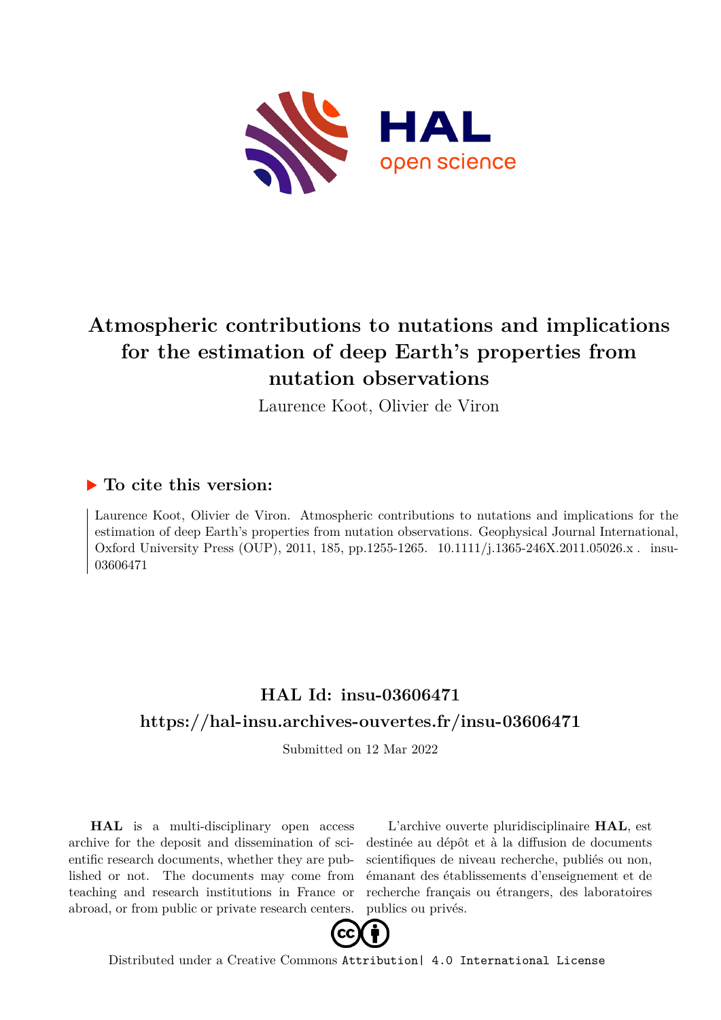

# **Atmospheric contributions to nutations and implications for the estimation of deep Earth's properties from nutation observations**

Laurence Koot, Olivier de Viron

### **To cite this version:**

Laurence Koot, Olivier de Viron. Atmospheric contributions to nutations and implications for the estimation of deep Earth's properties from nutation observations. Geophysical Journal International, Oxford University Press (OUP), 2011, 185, pp.1255-1265. 10.1111/j.1365-246X.2011.05026.x. insu-03606471

## **HAL Id: insu-03606471 <https://hal-insu.archives-ouvertes.fr/insu-03606471>**

Submitted on 12 Mar 2022

**HAL** is a multi-disciplinary open access archive for the deposit and dissemination of scientific research documents, whether they are published or not. The documents may come from teaching and research institutions in France or abroad, or from public or private research centers.

L'archive ouverte pluridisciplinaire **HAL**, est destinée au dépôt et à la diffusion de documents scientifiques de niveau recherche, publiés ou non, émanant des établissements d'enseignement et de recherche français ou étrangers, des laboratoires publics ou privés.



Distributed under a Creative Commons [Attribution| 4.0 International License](http://creativecommons.org/licenses/by/4.0/)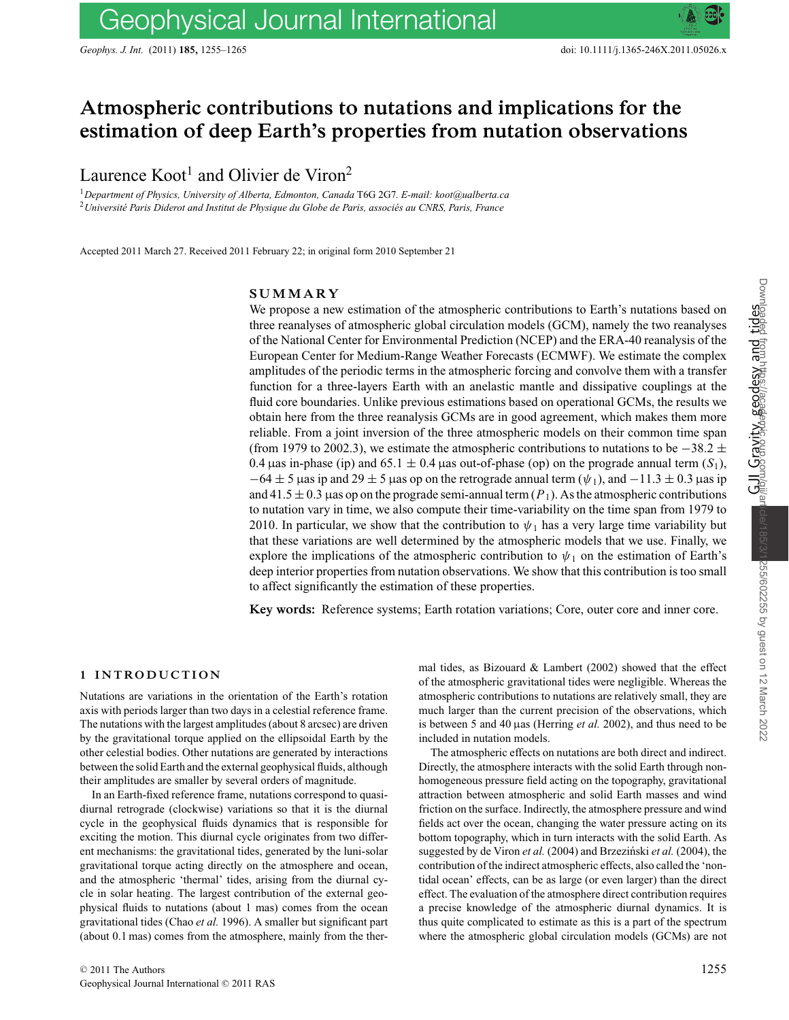## **Atmospheric contributions to nutations and implications for the estimation of deep Earth's properties from nutation observations**

Laurence  $Koot<sup>1</sup>$  and Olivier de Viron<sup>2</sup>

<sup>1</sup>*Department of Physics, University of Alberta, Edmonton, Canada* T6G 2G7*. E-mail: koot@ualberta.ca* <sup>2</sup> Université Paris Diderot and Institut de Physique du Globe de Paris, associés au CNRS, Paris, France

Accepted 2011 March 27. Received 2011 February 22; in original form 2010 September 21

#### **SUMMARY**

We propose a new estimation of the atmospheric contributions to Earth's nutations based on three reanalyses of atmospheric global circulation models (GCM), namely the two reanalyses of the National Center for Environmental Prediction (NCEP) and the ERA-40 reanalysis of the European Center for Medium-Range Weather Forecasts (ECMWF). We estimate the complex amplitudes of the periodic terms in the atmospheric forcing and convolve them with a transfer function for a three-layers Earth with an anelastic mantle and dissipative couplings at the fluid core boundaries. Unlike previous estimations based on operational GCMs, the results we obtain here from the three reanalysis GCMs are in good agreement, which makes them more reliable. From a joint inversion of the three atmospheric models on their common time span (from 1979 to 2002.3), we estimate the atmospheric contributions to nutations to be  $-38.2 \pm$ 0.4 µas in-phase (ip) and  $65.1 \pm 0.4$  µas out-of-phase (op) on the prograde annual term  $(S_1)$ ,  $-64 \pm 5$  µas ip and 29  $\pm 5$  µas op on the retrograde annual term ( $\psi_1$ ), and  $-11.3 \pm 0.3$  µas ip and 41.5  $\pm$  0.3 µas op on the prograde semi-annual term  $(P_1)$ . As the atmospheric contributions to nutation vary in time, we also compute their time-variability on the time span from 1979 to 2010. In particular, we show that the contribution to  $\psi_1$  has a very large time variability but that these variations are well determined by the atmospheric models that we use. Finally, we explore the implications of the atmospheric contribution to  $\psi_1$  on the estimation of Earth's deep interior properties from nutation observations. We show that this contribution is too small to affect significantly the estimation of these properties.

**Key words:** Reference systems; Earth rotation variations; Core, outer core and inner core.

#### **1 INTRODUCTION**

Nutations are variations in the orientation of the Earth's rotation axis with periods larger than two days in a celestial reference frame. The nutations with the largest amplitudes (about 8 arcsec) are driven by the gravitational torque applied on the ellipsoidal Earth by the other celestial bodies. Other nutations are generated by interactions between the solid Earth and the external geophysical fluids, although their amplitudes are smaller by several orders of magnitude.

In an Earth-fixed reference frame, nutations correspond to quasidiurnal retrograde (clockwise) variations so that it is the diurnal cycle in the geophysical fluids dynamics that is responsible for exciting the motion. This diurnal cycle originates from two different mechanisms: the gravitational tides, generated by the luni-solar gravitational torque acting directly on the atmosphere and ocean, and the atmospheric 'thermal' tides, arising from the diurnal cycle in solar heating. The largest contribution of the external geophysical fluids to nutations (about 1 mas) comes from the ocean gravitational tides (Chao *et al.* 1996). A smaller but significant part (about 0.1 mas) comes from the atmosphere, mainly from the thermal tides, as Bizouard & Lambert (2002) showed that the effect of the atmospheric gravitational tides were negligible. Whereas the atmospheric contributions to nutations are relatively small, they are much larger than the current precision of the observations, which is between 5 and 40 µas (Herring *et al.* 2002), and thus need to be included in nutation models.

The atmospheric effects on nutations are both direct and indirect. Directly, the atmosphere interacts with the solid Earth through nonhomogeneous pressure field acting on the topography, gravitational attraction between atmospheric and solid Earth masses and wind friction on the surface. Indirectly, the atmosphere pressure and wind fields act over the ocean, changing the water pressure acting on its bottom topography, which in turn interacts with the solid Earth. As suggested by de Viron *et al.* (2004) and Brzeziński *et al.* (2004), the contribution of the indirect atmospheric effects, also called the 'nontidal ocean' effects, can be as large (or even larger) than the direct effect. The evaluation of the atmosphere direct contribution requires a precise knowledge of the atmospheric diurnal dynamics. It is thus quite complicated to estimate as this is a part of the spectrum where the atmospheric global circulation models (GCMs) are not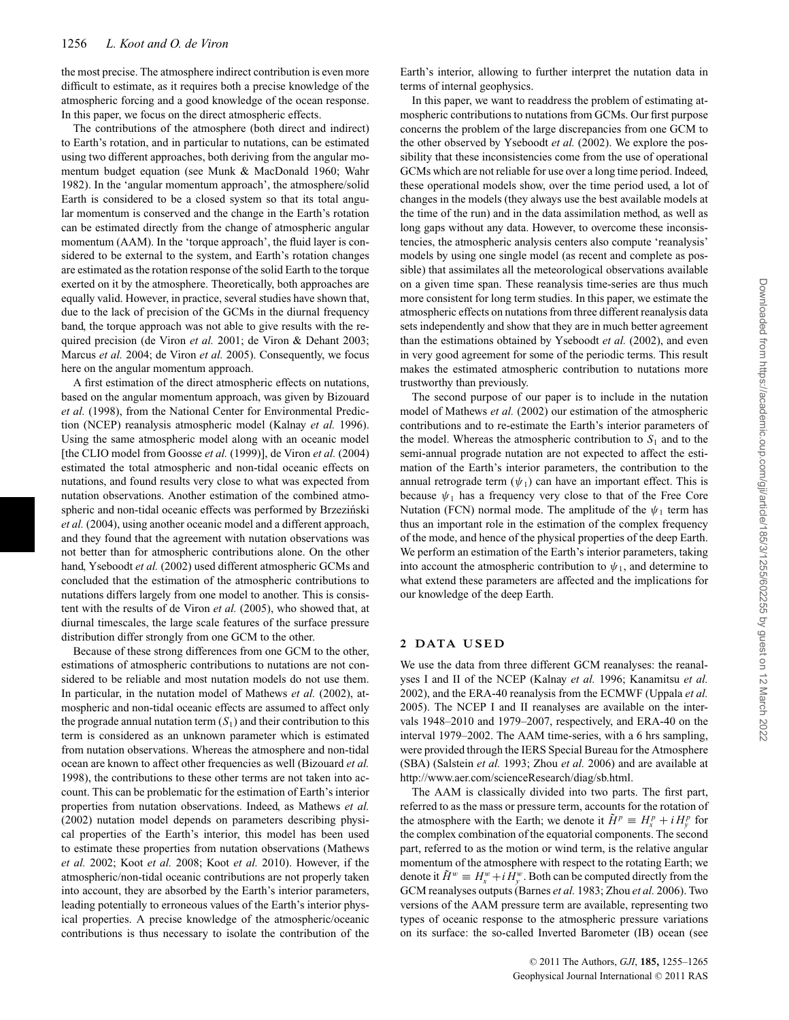the most precise. The atmosphere indirect contribution is even more difficult to estimate, as it requires both a precise knowledge of the atmospheric forcing and a good knowledge of the ocean response. In this paper, we focus on the direct atmospheric effects.

The contributions of the atmosphere (both direct and indirect) to Earth's rotation, and in particular to nutations, can be estimated using two different approaches, both deriving from the angular momentum budget equation (see Munk & MacDonald 1960; Wahr 1982). In the 'angular momentum approach', the atmosphere/solid Earth is considered to be a closed system so that its total angular momentum is conserved and the change in the Earth's rotation can be estimated directly from the change of atmospheric angular momentum (AAM). In the 'torque approach', the fluid layer is considered to be external to the system, and Earth's rotation changes are estimated as the rotation response of the solid Earth to the torque exerted on it by the atmosphere. Theoretically, both approaches are equally valid. However, in practice, several studies have shown that, due to the lack of precision of the GCMs in the diurnal frequency band, the torque approach was not able to give results with the required precision (de Viron et al. 2001; de Viron & Dehant 2003; Marcus *et al.* 2004; de Viron *et al.* 2005). Consequently, we focus here on the angular momentum approach.

A first estimation of the direct atmospheric effects on nutations, based on the angular momentum approach, was given by Bizouard *et al.* (1998), from the National Center for Environmental Prediction (NCEP) reanalysis atmospheric model (Kalnay *et al.* 1996). Using the same atmospheric model along with an oceanic model [the CLIO model from Goosse *et al.* (1999)], de Viron *et al.* (2004) estimated the total atmospheric and non-tidal oceanic effects on nutations, and found results very close to what was expected from nutation observations. Another estimation of the combined atmospheric and non-tidal oceanic effects was performed by Brzeziński *et al.* (2004), using another oceanic model and a different approach, and they found that the agreement with nutation observations was not better than for atmospheric contributions alone. On the other hand, Yseboodt *et al.* (2002) used different atmospheric GCMs and concluded that the estimation of the atmospheric contributions to nutations differs largely from one model to another. This is consistent with the results of de Viron *et al.* (2005), who showed that, at diurnal timescales, the large scale features of the surface pressure distribution differ strongly from one GCM to the other.

Because of these strong differences from one GCM to the other, estimations of atmospheric contributions to nutations are not considered to be reliable and most nutation models do not use them. In particular, in the nutation model of Mathews *et al.* (2002), atmospheric and non-tidal oceanic effects are assumed to affect only the prograde annual nutation term  $(S_1)$  and their contribution to this term is considered as an unknown parameter which is estimated from nutation observations. Whereas the atmosphere and non-tidal ocean are known to affect other frequencies as well (Bizouard *et al.* 1998), the contributions to these other terms are not taken into account. This can be problematic for the estimation of Earth's interior properties from nutation observations. Indeed, as Mathews *et al.* (2002) nutation model depends on parameters describing physical properties of the Earth's interior, this model has been used to estimate these properties from nutation observations (Mathews *et al.* 2002; Koot *et al.* 2008; Koot *et al.* 2010). However, if the atmospheric/non-tidal oceanic contributions are not properly taken into account, they are absorbed by the Earth's interior parameters, leading potentially to erroneous values of the Earth's interior physical properties. A precise knowledge of the atmospheric/oceanic contributions is thus necessary to isolate the contribution of the

Earth's interior, allowing to further interpret the nutation data in terms of internal geophysics.

In this paper, we want to readdress the problem of estimating atmospheric contributions to nutations from GCMs. Our first purpose concerns the problem of the large discrepancies from one GCM to the other observed by Yseboodt *et al.* (2002). We explore the possibility that these inconsistencies come from the use of operational GCMs which are not reliable for use over a long time period. Indeed, these operational models show, over the time period used, a lot of changes in the models (they always use the best available models at the time of the run) and in the data assimilation method, as well as long gaps without any data. However, to overcome these inconsistencies, the atmospheric analysis centers also compute 'reanalysis' models by using one single model (as recent and complete as possible) that assimilates all the meteorological observations available on a given time span. These reanalysis time-series are thus much more consistent for long term studies. In this paper, we estimate the atmospheric effects on nutations from three different reanalysis data sets independently and show that they are in much better agreement than the estimations obtained by Yseboodt *et al.* (2002), and even in very good agreement for some of the periodic terms. This result makes the estimated atmospheric contribution to nutations more trustworthy than previously.

The second purpose of our paper is to include in the nutation model of Mathews *et al.* (2002) our estimation of the atmospheric contributions and to re-estimate the Earth's interior parameters of the model. Whereas the atmospheric contribution to  $S_1$  and to the semi-annual prograde nutation are not expected to affect the estimation of the Earth's interior parameters, the contribution to the annual retrograde term  $(\psi_1)$  can have an important effect. This is because  $\psi_1$  has a frequency very close to that of the Free Core Nutation (FCN) normal mode. The amplitude of the  $\psi_1$  term has thus an important role in the estimation of the complex frequency of the mode, and hence of the physical properties of the deep Earth. We perform an estimation of the Earth's interior parameters, taking into account the atmospheric contribution to  $\psi_1$ , and determine to what extend these parameters are affected and the implications for our knowledge of the deep Earth.

#### **2 DATA USED**

We use the data from three different GCM reanalyses: the reanalyses I and II of the NCEP (Kalnay *et al.* 1996; Kanamitsu *et al.* 2002), and the ERA-40 reanalysis from the ECMWF (Uppala *et al.* 2005). The NCEP I and II reanalyses are available on the intervals 1948–2010 and 1979–2007, respectively, and ERA-40 on the interval 1979–2002. The AAM time-series, with a 6 hrs sampling, were provided through the IERS Special Bureau for the Atmosphere (SBA) (Salstein *et al.* 1993; Zhou *et al.* 2006) and are available at http://www.aer.com/scienceResearch/diag/sb.html.

The AAM is classically divided into two parts. The first part, referred to as the mass or pressure term, accounts for the rotation of the atmosphere with the Earth; we denote it  $\tilde{H}^p \equiv H_x^p + i H_y^p$  for the complex combination of the equatorial components. The second part, referred to as the motion or wind term, is the relative angular momentum of the atmosphere with respect to the rotating Earth; we denote it  $\tilde{H}^w \equiv H^w_x + i H^w_y$ . Both can be computed directly from the GCM reanalyses outputs (Barnes *et al.* 1983; Zhou *et al.* 2006). Two versions of the AAM pressure term are available, representing two types of oceanic response to the atmospheric pressure variations on its surface: the so-called Inverted Barometer (IB) ocean (see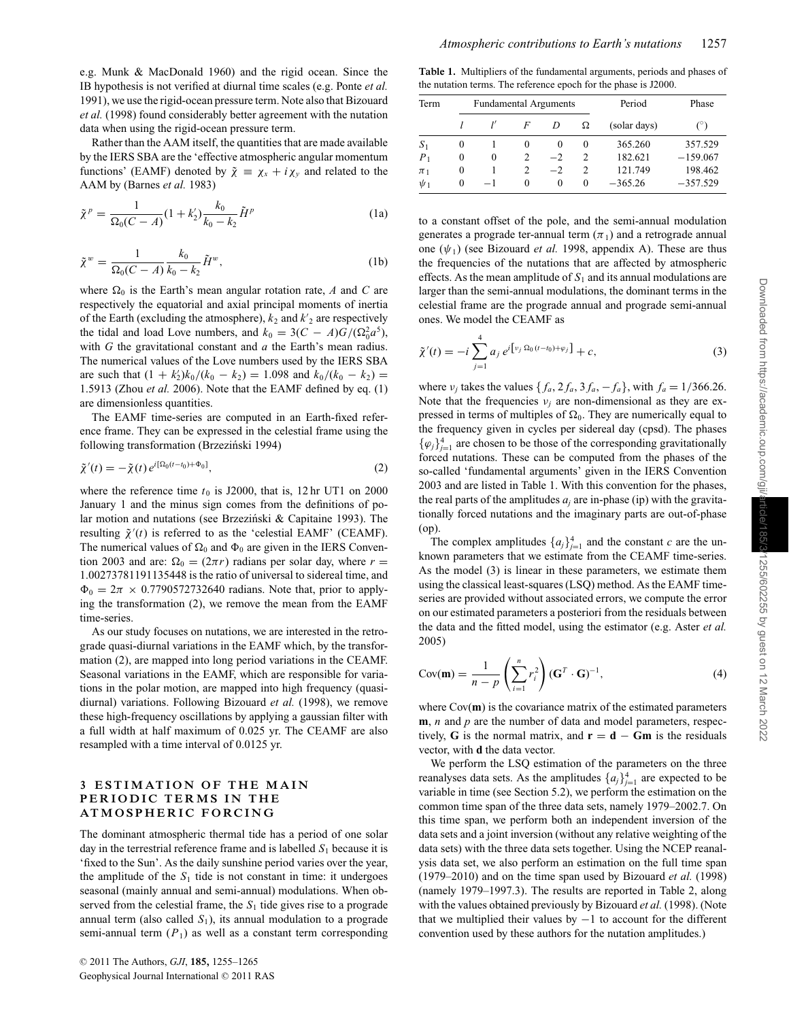e.g. Munk & MacDonald 1960) and the rigid ocean. Since the IB hypothesis is not verified at diurnal time scales (e.g. Ponte *et al.* 1991), we use the rigid-ocean pressure term. Note also that Bizouard *et al.* (1998) found considerably better agreement with the nutation data when using the rigid-ocean pressure term.

Rather than the AAM itself, the quantities that are made available by the IERS SBA are the 'effective atmospheric angular momentum functions' (EAMF) denoted by  $\tilde{\chi} \equiv \chi_x + i\chi_y$  and related to the AAM by (Barnes *et al.* 1983)

$$
\tilde{\chi}^p = \frac{1}{\Omega_0 (C - A)} (1 + k_2') \frac{k_0}{k_0 - k_2} \tilde{H}^p
$$
 (1a)

$$
\tilde{\chi}^w = \frac{1}{\Omega_0 (C - A)} \frac{k_0}{k_0 - k_2} \tilde{H}^w,
$$
\n(1b)

where  $\Omega_0$  is the Earth's mean angular rotation rate, *A* and *C* are respectively the equatorial and axial principal moments of inertia of the Earth (excluding the atmosphere),  $k_2$  and  $k'_2$  are respectively the tidal and load Love numbers, and  $k_0 = 3(C - A)G/(\Omega_0^2 a^5)$ , with *G* the gravitational constant and *a* the Earth's mean radius. The numerical values of the Love numbers used by the IERS SBA are such that  $(1 + k'_2)k_0/(k_0 - k_2) = 1.098$  and  $k_0/(k_0 - k_2) =$ 1.5913 (Zhou *et al.* 2006). Note that the EAMF defined by eq. (1) are dimensionless quantities.

The EAMF time-series are computed in an Earth-fixed reference frame. They can be expressed in the celestial frame using the following transformation (Brzeziński 1994)

$$
\tilde{\chi}'(t) = -\tilde{\chi}(t) e^{i[\Omega_0(t-t_0) + \Phi_0]},\tag{2}
$$

where the reference time  $t_0$  is J2000, that is, 12 hr UT1 on 2000 January 1 and the minus sign comes from the definitions of polar motion and nutations (see Brzeziński & Capitaine 1993). The resulting  $\tilde{\chi}'(t)$  is referred to as the 'celestial EAMF' (CEAMF). The numerical values of  $\Omega_0$  and  $\Phi_0$  are given in the IERS Convention 2003 and are:  $\Omega_0 = (2\pi r)$  radians per solar day, where  $r =$ 1.00273781191135448 is the ratio of universal to sidereal time, and  $\Phi_0 = 2\pi \times 0.7790572732640$  radians. Note that, prior to applying the transformation (2), we remove the mean from the EAMF time-series.

As our study focuses on nutations, we are interested in the retrograde quasi-diurnal variations in the EAMF which, by the transformation (2), are mapped into long period variations in the CEAMF. Seasonal variations in the EAMF, which are responsible for variations in the polar motion, are mapped into high frequency (quasidiurnal) variations. Following Bizouard *et al.* (1998), we remove these high-frequency oscillations by applying a gaussian filter with a full width at half maximum of 0.025 yr. The CEAMF are also resampled with a time interval of 0.0125 yr.

#### **3 ESTIMATION OF THE MAIN PERIODIC TERMS IN THE ATMOSPHERIC FORCING**

The dominant atmospheric thermal tide has a period of one solar day in the terrestrial reference frame and is labelled  $S_1$  because it is 'fixed to the Sun'. As the daily sunshine period varies over the year, the amplitude of the  $S_1$  tide is not constant in time: it undergoes seasonal (mainly annual and semi-annual) modulations. When observed from the celestial frame, the  $S_1$  tide gives rise to a prograde annual term (also called  $S_1$ ), its annual modulation to a prograde semi-annual term  $(P_1)$  as well as a constant term corresponding

| <b>Table 1.</b> Multipliers of the fundamental arguments, periods and phases of |
|---------------------------------------------------------------------------------|
| the nutation terms. The reference epoch for the phase is J2000.                 |

| Term           |          | <b>Fundamental Arguments</b> |   |          |               | Period       | Phase      |
|----------------|----------|------------------------------|---|----------|---------------|--------------|------------|
|                |          |                              | F | D        | Ω             | (solar days) |            |
| S <sub>1</sub> | 0        |                              | 0 | $\theta$ | $\theta$      | 365.260      | 357.529    |
| $P_1$          | 0        | $\theta$                     |   | $-2$     | 2             | 182.621      | $-159.067$ |
| $\pi_1$        | 0        |                              |   | $-2$     | $\mathcal{D}$ | 121.749      | 198.462    |
| $\psi_1$       | $\theta$ | $-1$                         | 0 | 0        | 0             | $-365.26$    | $-357.529$ |

to a constant offset of the pole, and the semi-annual modulation generates a prograde ter-annual term  $(\pi_1)$  and a retrograde annual one  $(\psi_1)$  (see Bizouard *et al.* 1998, appendix A). These are thus the frequencies of the nutations that are affected by atmospheric effects. As the mean amplitude of  $S_1$  and its annual modulations are larger than the semi-annual modulations, the dominant terms in the celestial frame are the prograde annual and prograde semi-annual ones. We model the CEAMF as

$$
\tilde{\chi}'(t) = -i \sum_{j=1}^{4} a_j e^{i \left[ v_j \Omega_0 (t - t_0) + \varphi_j \right]} + c,\tag{3}
$$

where  $v_j$  takes the values  $\{f_a, 2f_a, 3f_a, -f_a\}$ , with  $f_a = 1/366.26$ . Note that the frequencies  $v_j$  are non-dimensional as they are expressed in terms of multiples of  $\Omega_0$ . They are numerically equal to the frequency given in cycles per sidereal day (cpsd). The phases  $\{\varphi_j\}_{j=1}^4$  are chosen to be those of the corresponding gravitationally forced nutations. These can be computed from the phases of the so-called 'fundamental arguments' given in the IERS Convention 2003 and are listed in Table 1. With this convention for the phases, the real parts of the amplitudes  $a_i$  are in-phase (ip) with the gravitationally forced nutations and the imaginary parts are out-of-phase (op).

The complex amplitudes  $\{a_j\}_{j=1}^4$  and the constant *c* are the unknown parameters that we estimate from the CEAMF time-series. As the model (3) is linear in these parameters, we estimate them using the classical least-squares (LSQ) method. As the EAMF timeseries are provided without associated errors, we compute the error on our estimated parameters a posteriori from the residuals between the data and the fitted model, using the estimator (e.g. Aster *et al.* 2005)

$$
Cov(\mathbf{m}) = \frac{1}{n-p} \left( \sum_{i=1}^{n} r_i^2 \right) (\mathbf{G}^T \cdot \mathbf{G})^{-1},\tag{4}
$$

where  $Cov(\mathbf{m})$  is the covariance matrix of the estimated parameters **m**, *n* and *p* are the number of data and model parameters, respectively, **G** is the normal matrix, and  $\mathbf{r} = \mathbf{d} - \mathbf{G}\mathbf{m}$  is the residuals vector, with **d** the data vector.

We perform the LSQ estimation of the parameters on the three reanalyses data sets. As the amplitudes  $\{a_j\}_{j=1}^4$  are expected to be variable in time (see Section 5.2), we perform the estimation on the common time span of the three data sets, namely 1979–2002.7. On this time span, we perform both an independent inversion of the data sets and a joint inversion (without any relative weighting of the data sets) with the three data sets together. Using the NCEP reanalysis data set, we also perform an estimation on the full time span (1979–2010) and on the time span used by Bizouard *et al.* (1998) (namely 1979–1997.3). The results are reported in Table 2, along with the values obtained previously by Bizouard *et al.* (1998). (Note that we multiplied their values by  $-1$  to account for the different convention used by these authors for the nutation amplitudes.)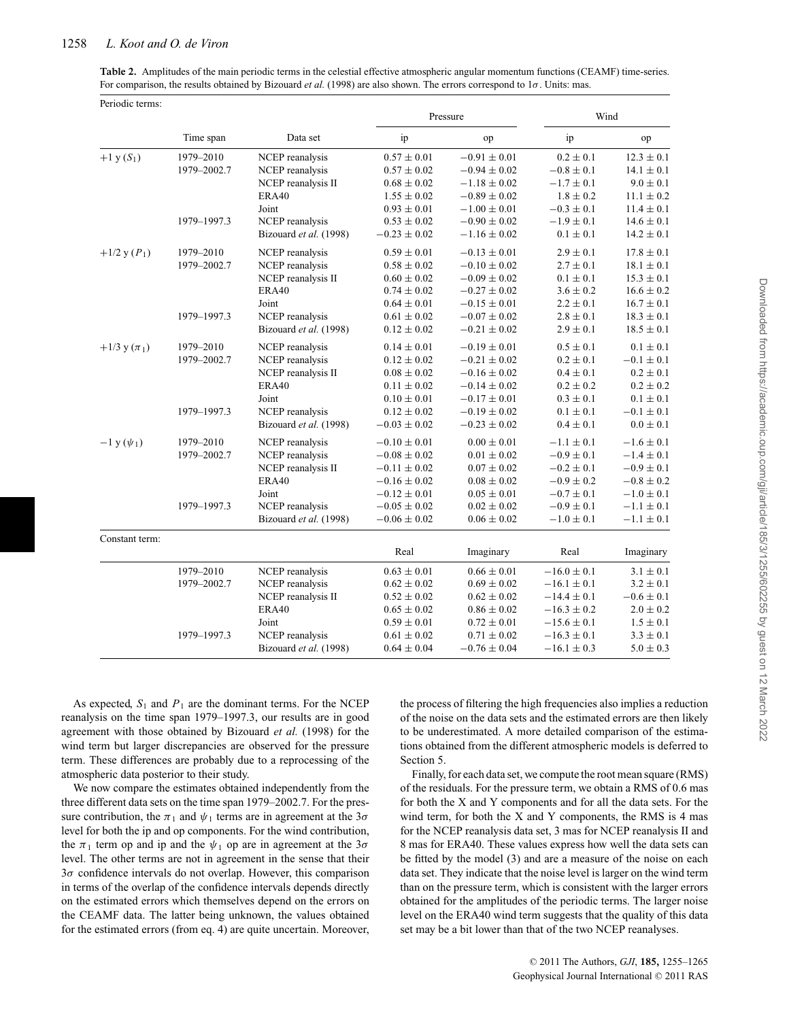#### 1258 *L. Koot and O. de Viron*

**Table 2.** Amplitudes of the main periodic terms in the celestial effective atmospheric angular momentum functions (CEAMF) time-series. For comparison, the results obtained by Bizouard *et al.* (1998) are also shown. The errors correspond to 1σ. Units: mas.

|                    |             |                        |                  | Pressure         | Wind            |                |  |
|--------------------|-------------|------------------------|------------------|------------------|-----------------|----------------|--|
|                    | Time span   | Data set               | ip               | op               | ip              | op             |  |
| $+1 y(S_1)$        | 1979-2010   | NCEP reanalysis        | $0.57 \pm 0.01$  | $-0.91 \pm 0.01$ | $0.2 \pm 0.1$   | $12.3 \pm 0.1$ |  |
|                    | 1979-2002.7 | NCEP reanalysis        | $0.57 \pm 0.02$  | $-0.94\pm0.02$   | $-0.8 \pm 0.1$  | $14.1 \pm 0.1$ |  |
|                    |             | NCEP reanalysis II     | $0.68 \pm 0.02$  | $-1.18 \pm 0.02$ | $-1.7 \pm 0.1$  | $9.0 \pm 0.1$  |  |
|                    |             | ERA40                  | $1.55 \pm 0.02$  | $-0.89 \pm 0.02$ | $1.8 \pm 0.2$   | $11.1 \pm 0.2$ |  |
|                    |             | Joint                  | $0.93 \pm 0.01$  | $-1.00 \pm 0.01$ | $-0.3 \pm 0.1$  | $11.4 \pm 0.1$ |  |
|                    | 1979-1997.3 | NCEP reanalysis        | $0.53 \pm 0.02$  | $-0.90 \pm 0.02$ | $-1.9 \pm 0.1$  | $14.6 \pm 0.1$ |  |
|                    |             | Bizouard et al. (1998) | $-0.23 \pm 0.02$ | $-1.16 \pm 0.02$ | $0.1 \pm 0.1$   | $14.2 \pm 0.1$ |  |
| $+1/2$ y $(P_1)$   | 1979-2010   | NCEP reanalysis        | $0.59 \pm 0.01$  | $-0.13 \pm 0.01$ | $2.9 \pm 0.1$   | $17.8 \pm 0.1$ |  |
|                    | 1979-2002.7 | NCEP reanalysis        | $0.58 \pm 0.02$  | $-0.10 \pm 0.02$ | $2.7 \pm 0.1$   | $18.1 \pm 0.1$ |  |
|                    |             | NCEP reanalysis II     | $0.60 \pm 0.02$  | $-0.09 \pm 0.02$ | $0.1 \pm 0.1$   | $15.3 \pm 0.1$ |  |
|                    |             | ERA40                  | $0.74 \pm 0.02$  | $-0.27 \pm 0.02$ | $3.6 \pm 0.2$   | $16.6 \pm 0.2$ |  |
|                    |             | Joint                  | $0.64 \pm 0.01$  | $-0.15 \pm 0.01$ | $2.2 \pm 0.1$   | $16.7 \pm 0.1$ |  |
|                    | 1979-1997.3 | NCEP reanalysis        | $0.61 \pm 0.02$  | $-0.07 \pm 0.02$ | $2.8\pm0.1$     | $18.3 \pm 0.1$ |  |
|                    |             | Bizouard et al. (1998) | $0.12 \pm 0.02$  | $-0.21 \pm 0.02$ | $2.9 \pm 0.1$   | $18.5 \pm 0.1$ |  |
| $+1/3$ y $(\pi_1)$ | 1979-2010   | NCEP reanalysis        | $0.14 \pm 0.01$  | $-0.19 \pm 0.01$ | $0.5 \pm 0.1$   | $0.1 \pm 0.1$  |  |
|                    | 1979-2002.7 | NCEP reanalysis        | $0.12 \pm 0.02$  | $-0.21 \pm 0.02$ | $0.2 \pm 0.1$   | $-0.1 \pm 0.1$ |  |
|                    |             | NCEP reanalysis II     | $0.08 \pm 0.02$  | $-0.16 \pm 0.02$ | $0.4 \pm 0.1$   | $0.2 \pm 0.1$  |  |
|                    |             | <b>ERA40</b>           | $0.11 \pm 0.02$  | $-0.14 \pm 0.02$ | $0.2 \pm 0.2$   | $0.2 \pm 0.2$  |  |
|                    |             | Joint                  | $0.10 \pm 0.01$  | $-0.17 \pm 0.01$ | $0.3 \pm 0.1$   | $0.1 \pm 0.1$  |  |
|                    | 1979-1997.3 | NCEP reanalysis        | $0.12 \pm 0.02$  | $-0.19 \pm 0.02$ | $0.1 \pm 0.1$   | $-0.1 \pm 0.1$ |  |
|                    |             | Bizouard et al. (1998) | $-0.03 \pm 0.02$ | $-0.23 \pm 0.02$ | $0.4 \pm 0.1$   | $0.0 \pm 0.1$  |  |
| $-1$ y $(\psi_1)$  | 1979-2010   | NCEP reanalysis        | $-0.10 \pm 0.01$ | $0.00 \pm 0.01$  | $-1.1 \pm 0.1$  | $-1.6 \pm 0.1$ |  |
|                    | 1979-2002.7 | NCEP reanalysis        | $-0.08 \pm 0.02$ | $0.01 \pm 0.02$  | $-0.9 \pm 0.1$  | $-1.4 \pm 0.1$ |  |
|                    |             | NCEP reanalysis II     | $-0.11 \pm 0.02$ | $0.07\pm0.02$    | $-0.2 \pm 0.1$  | $-0.9 \pm 0.1$ |  |
|                    |             | <b>ERA40</b>           | $-0.16 \pm 0.02$ | $0.08 \pm 0.02$  | $-0.9 \pm 0.2$  | $-0.8 \pm 0.2$ |  |
|                    |             | Joint                  | $-0.12 \pm 0.01$ | $0.05 \pm 0.01$  | $-0.7 \pm 0.1$  | $-1.0 \pm 0.1$ |  |
|                    | 1979-1997.3 | NCEP reanalysis        | $-0.05 \pm 0.02$ | $0.02 \pm 0.02$  | $-0.9 \pm 0.1$  | $-1.1 \pm 0.1$ |  |
|                    |             | Bizouard et al. (1998) | $-0.06 \pm 0.02$ | $0.06 \pm 0.02$  | $-1.0 \pm 0.1$  | $-1.1 \pm 0.1$ |  |
| Constant term:     |             |                        |                  |                  |                 |                |  |
|                    |             |                        | Real             | Imaginary        | Real            | Imaginary      |  |
|                    | 1979-2010   | NCEP reanalysis        | $0.63 \pm 0.01$  | $0.66 \pm 0.01$  | $-16.0 \pm 0.1$ | $3.1 \pm 0.1$  |  |
|                    | 1979-2002.7 | NCEP reanalysis        | $0.62\pm0.02$    | $0.69 \pm 0.02$  | $-16.1\pm0.1$   | $3.2 \pm 0.1$  |  |
|                    |             | NCEP reanalysis II     | $0.52 \pm 0.02$  | $0.62 \pm 0.02$  | $-14.4 \pm 0.1$ | $-0.6 \pm 0.1$ |  |
|                    |             | <b>ERA40</b>           | $0.65 \pm 0.02$  | $0.86 \pm 0.02$  | $-16.3 \pm 0.2$ | $2.0 \pm 0.2$  |  |
|                    |             | Joint                  | $0.59 \pm 0.01$  | $0.72 \pm 0.01$  | $-15.6 \pm 0.1$ | $1.5 \pm 0.1$  |  |
|                    | 1979-1997.3 | NCEP reanalysis        | $0.61 \pm 0.02$  | $0.71 \pm 0.02$  | $-16.3 \pm 0.1$ | $3.3 \pm 0.1$  |  |
|                    |             | Bizouard et al. (1998) | $0.64 \pm 0.04$  | $-0.76 \pm 0.04$ | $-16.1 \pm 0.3$ | $5.0 \pm 0.3$  |  |

As expected,  $S_1$  and  $P_1$  are the dominant terms. For the NCEP reanalysis on the time span 1979–1997.3, our results are in good agreement with those obtained by Bizouard *et al.* (1998) for the wind term but larger discrepancies are observed for the pressure term. These differences are probably due to a reprocessing of the atmospheric data posterior to their study.

We now compare the estimates obtained independently from the three different data sets on the time span 1979–2002.7. For the pressure contribution, the  $\pi_1$  and  $\psi_1$  terms are in agreement at the  $3\sigma$ level for both the ip and op components. For the wind contribution, the  $\pi_1$  term op and ip and the  $\psi_1$  op are in agreement at the  $3\sigma$ level. The other terms are not in agreement in the sense that their  $3\sigma$  confidence intervals do not overlap. However, this comparison in terms of the overlap of the confidence intervals depends directly on the estimated errors which themselves depend on the errors on the CEAMF data. The latter being unknown, the values obtained for the estimated errors (from eq. 4) are quite uncertain. Moreover, the process of filtering the high frequencies also implies a reduction of the noise on the data sets and the estimated errors are then likely to be underestimated. A more detailed comparison of the estimations obtained from the different atmospheric models is deferred to Section 5.

Finally, for each data set, we compute the root mean square (RMS) of the residuals. For the pressure term, we obtain a RMS of 0.6 mas for both the X and Y components and for all the data sets. For the wind term, for both the X and Y components, the RMS is 4 mas for the NCEP reanalysis data set, 3 mas for NCEP reanalysis II and 8 mas for ERA40. These values express how well the data sets can be fitted by the model (3) and are a measure of the noise on each data set. They indicate that the noise level is larger on the wind term than on the pressure term, which is consistent with the larger errors obtained for the amplitudes of the periodic terms. The larger noise level on the ERA40 wind term suggests that the quality of this data set may be a bit lower than that of the two NCEP reanalyses.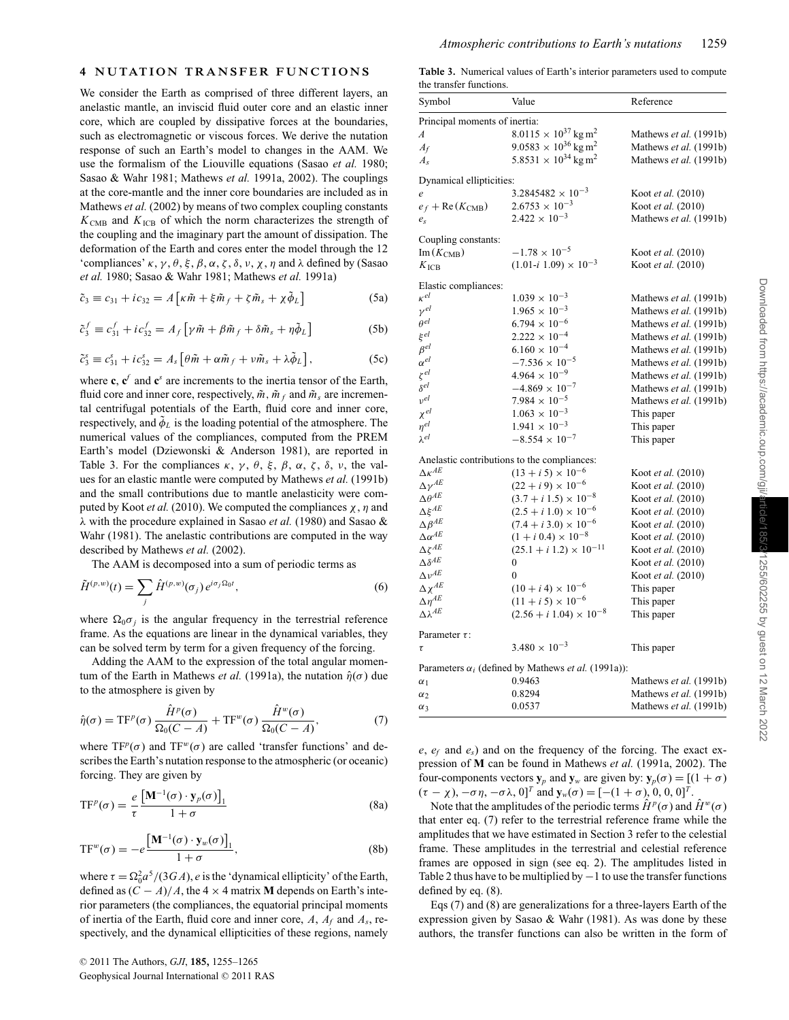We consider the Earth as comprised of three different layers, an anelastic mantle, an inviscid fluid outer core and an elastic inner core, which are coupled by dissipative forces at the boundaries, such as electromagnetic or viscous forces. We derive the nutation response of such an Earth's model to changes in the AAM. We use the formalism of the Liouville equations (Sasao *et al.* 1980; Sasao & Wahr 1981; Mathews *et al.* 1991a, 2002). The couplings at the core-mantle and the inner core boundaries are included as in Mathews *et al.* (2002) by means of two complex coupling constants  $K<sub>CMB</sub>$  and  $K<sub>ICB</sub>$  of which the norm characterizes the strength of the coupling and the imaginary part the amount of dissipation. The deformation of the Earth and cores enter the model through the 12 'compliances'  $\kappa$ ,  $\gamma$ ,  $\theta$ ,  $\xi$ ,  $\beta$ ,  $\alpha$ ,  $\zeta$ ,  $\delta$ ,  $\nu$ ,  $\chi$ ,  $\eta$  and  $\lambda$  defined by (Sasao *et al.* 1980; Sasao & Wahr 1981; Mathews *et al.* 1991a)

$$
\tilde{c}_3 \equiv c_{31} + ic_{32} = A \left[ \kappa \tilde{m} + \xi \tilde{m}_f + \zeta \tilde{m}_s + \chi \tilde{\phi}_L \right]
$$
(5a)

$$
\tilde{c}_3^f \equiv c_{31}^f + i c_{32}^f = A_f \left[ \gamma \tilde{m} + \beta \tilde{m}_f + \delta \tilde{m}_s + \eta \tilde{\phi}_L \right]
$$
(5b)

$$
\tilde{c}_3^s \equiv c_{31}^s + i c_{32}^s = A_s \left[ \theta \tilde{m} + \alpha \tilde{m}_f + \nu \tilde{m}_s + \lambda \tilde{\phi}_L \right],\tag{5c}
$$

where  $\mathbf{c}, \mathbf{c}^f$  and  $\mathbf{c}^s$  are increments to the inertia tensor of the Earth, fluid core and inner core, respectively,  $\tilde{m}$ ,  $\tilde{m}$  and  $\tilde{m}$ <sub>s</sub> are incremental centrifugal potentials of the Earth, fluid core and inner core, respectively, and  $\tilde{\phi}_L$  is the loading potential of the atmosphere. The numerical values of the compliances, computed from the PREM Earth's model (Dziewonski & Anderson 1981), are reported in Table 3. For the compliances  $\kappa$ ,  $\gamma$ ,  $\theta$ ,  $\xi$ ,  $\beta$ ,  $\alpha$ ,  $\zeta$ ,  $\delta$ ,  $\nu$ , the values for an elastic mantle were computed by Mathews *et al.* (1991b) and the small contributions due to mantle anelasticity were computed by Koot *et al.* (2010). We computed the compliances  $\chi$ ,  $\eta$  and λ with the procedure explained in Sasao *et al.* (1980) and Sasao & Wahr (1981). The anelastic contributions are computed in the way described by Mathews *et al.* (2002).

The AAM is decomposed into a sum of periodic terms as

$$
\tilde{H}^{(p,w)}(t) = \sum_{j} \hat{H}^{(p,w)}(\sigma_j) e^{i\sigma_j \Omega_0 t},\tag{6}
$$

where  $\Omega_0 \sigma_i$  is the angular frequency in the terrestrial reference frame. As the equations are linear in the dynamical variables, they can be solved term by term for a given frequency of the forcing.

Adding the AAM to the expression of the total angular momentum of the Earth in Mathews *et al.* (1991a), the nutation  $\hat{\eta}(\sigma)$  due to the atmosphere is given by

$$
\hat{\eta}(\sigma) = \mathrm{TF}^p(\sigma) \frac{\hat{H}^p(\sigma)}{\Omega_0(C - A)} + \mathrm{TF}^w(\sigma) \frac{\hat{H}^w(\sigma)}{\Omega_0(C - A)},\tag{7}
$$

where  $TF^p(\sigma)$  and  $TF^w(\sigma)$  are called 'transfer functions' and describes the Earth's nutation response to the atmospheric (or oceanic) forcing. They are given by

$$
TF^{p}(\sigma) = \frac{e}{\tau} \frac{\left[\mathbf{M}^{-1}(\sigma) \cdot \mathbf{y}_{p}(\sigma)\right]_{1}}{1 + \sigma}
$$
(8a)

$$
TF^{w}(\sigma) = -e \frac{\left[\mathbf{M}^{-1}(\sigma) \cdot \mathbf{y}_{w}(\sigma)\right]_{1}}{1+\sigma}, \tag{8b}
$$

where  $\tau = \Omega_0^2 a^5 / (3GA)$ , *e* is the 'dynamical ellipticity' of the Earth, defined as  $(C - A)/A$ , the 4 × 4 matrix **M** depends on Earth's interior parameters (the compliances, the equatorial principal moments of inertia of the Earth, fluid core and inner core, *A*, *Af* and *As*, respectively, and the dynamical ellipticities of these regions, namely

**Table 3.** Numerical values of Earth's interior parameters used to compute the transfer functions.

| Symbol                            | Value                                                             | Reference              |
|-----------------------------------|-------------------------------------------------------------------|------------------------|
| Principal moments of inertia:     |                                                                   |                        |
| A                                 | $8.0115 \times 10^{37}$ kg m <sup>2</sup>                         | Mathews et al. (1991b) |
| $A_f$                             | $9.0583 \times 10^{36}$ kg m <sup>2</sup>                         | Mathews et al. (1991b) |
| $A_{\rm s}$                       | $5.8531 \times 10^{34}$ kg m <sup>2</sup>                         | Mathews et al. (1991b) |
| Dynamical ellipticities:          |                                                                   |                        |
| $\boldsymbol{e}$                  | $3.2845482 \times 10^{-3}$                                        | Koot et al. (2010)     |
| $e_f + \text{Re}(K_{\text{CMB}})$ | $2.6753 \times 10^{-3}$                                           | Koot et al. (2010)     |
| $e_{s}$                           | $2.422 \times 10^{-3}$                                            | Mathews et al. (1991b) |
| Coupling constants:               |                                                                   |                        |
| $Im(K_{CMB})$                     | $-1.78 \times 10^{-5}$                                            | Koot et al. (2010)     |
| $K_{\text{ICB}}$                  | $(1.01-i \; 1.09) \times 10^{-3}$                                 | Koot et al. (2010)     |
| Elastic compliances:              |                                                                   |                        |
| $\kappa^{el}$                     | $1.039 \times 10^{-3}$                                            | Mathews et al. (1991b) |
| $\gamma^{el}$                     | $1.965 \times 10^{-3}$                                            | Mathews et al. (1991b) |
| $\theta^{el}$                     | $6.794 \times 10^{-6}$                                            | Mathews et al. (1991b) |
| $\xi^{el}$                        | $2.222 \times 10^{-4}$                                            | Mathews et al. (1991b) |
| $\beta^{el}$                      | $6.160 \times 10^{-4}$                                            | Mathews et al. (1991b) |
| $\alpha^{el}$                     | $-7.536 \times 10^{-5}$                                           | Mathews et al. (1991b) |
| $\zeta^{el}$                      | $4.964 \times 10^{-9}$                                            | Mathews et al. (1991b) |
| $\delta^{el}$                     | $-4.869 \times 10^{-7}$                                           | Mathews et al. (1991b) |
| $v^{el}$                          | $7.984 \times 10^{-5}$                                            | Mathews et al. (1991b) |
| $\chi^{el}$                       | $1.063 \times 10^{-3}$                                            | This paper             |
| $\eta^{el}$                       | $1.941 \times 10^{-3}$                                            | This paper             |
| $\lambda^{el}$                    | $-8.554 \times 10^{-7}$                                           | This paper             |
|                                   | Anelastic contributions to the compliances:                       |                        |
| $\Delta \kappa^{AE}$              | $(13 + i 5) \times 10^{-6}$                                       | Koot et al. (2010)     |
| $\Delta \gamma^{AE}$              | $(22 + i 9) \times 10^{-6}$                                       | Koot et al. (2010)     |
| $\Delta \theta^{AE}$              | $(3.7 + i 1.5) \times 10^{-8}$                                    | Koot et al. (2010)     |
| $\Delta\xi^{AE}$                  | $(2.5 + i 1.0) \times 10^{-6}$                                    | Koot et al. (2010)     |
| $\Delta \beta^{AE}$               | $(7.4 + i 3.0) \times 10^{-6}$                                    | Koot et al. (2010)     |
| $\Delta \alpha^{AE}$              | $(1 + i 0.4) \times 10^{-8}$                                      | Koot et al. (2010)     |
| $\Delta\zeta^{AE}$                | $(25.1 + i 1.2) \times 10^{-11}$                                  | Koot et al. (2010)     |
| $\Delta\delta^{AE}$               | 0                                                                 | Koot et al. (2010)     |
| $\Delta v^{AE}$                   | $\mathbf{0}$                                                      | Koot et al. (2010)     |
| $\Delta \chi^{AE}$                | $(10 + i 4) \times 10^{-6}$                                       | This paper             |
| $\Delta\eta^{AE}$                 | $(11 + i 5) \times 10^{-6}$                                       | This paper             |
| $\Delta \lambda^{AE}$             | $(2.56 + i 1.04) \times 10^{-8}$                                  | This paper             |
| Parameter $\tau$ :                |                                                                   |                        |
| τ                                 | $3.480 \times 10^{-3}$                                            | This paper             |
|                                   | Parameters $\alpha_i$ (defined by Mathews <i>et al.</i> (1991a)): |                        |
| $\alpha_1$                        | 0.9463                                                            | Mathews et al. (1991b) |
| $\alpha_2$                        | 0.8294                                                            | Mathews et al. (1991b) |
| $\alpha_3$                        | 0.0537                                                            | Mathews et al. (1991b) |

*e*, *ef* and *es*) and on the frequency of the forcing. The exact expression of **M** can be found in Mathews *et al.* (1991a, 2002). The four-components vectors  $\mathbf{y}_p$  and  $\mathbf{y}_w$  are given by:  $\mathbf{y}_p(\sigma) = [(1 + \sigma)]$  $(\tau - \chi)$ ,  $-\sigma \eta$ ,  $-\sigma \lambda$ ,  $0$ ]<sup>T</sup> and  $\mathbf{y}_w(\sigma) = [-(1 + \sigma), 0, 0, 0]$ <sup>T</sup>.

Note that the amplitudes of the periodic terms  $\hat{H}^p(\sigma)$  and  $\hat{H}^w(\sigma)$ that enter eq. (7) refer to the terrestrial reference frame while the amplitudes that we have estimated in Section 3 refer to the celestial frame. These amplitudes in the terrestrial and celestial reference frames are opposed in sign (see eq. 2). The amplitudes listed in Table 2 thus have to be multiplied by  $-1$  to use the transfer functions defined by eq. (8).

Eqs (7) and (8) are generalizations for a three-layers Earth of the expression given by Sasao & Wahr (1981). As was done by these authors, the transfer functions can also be written in the form of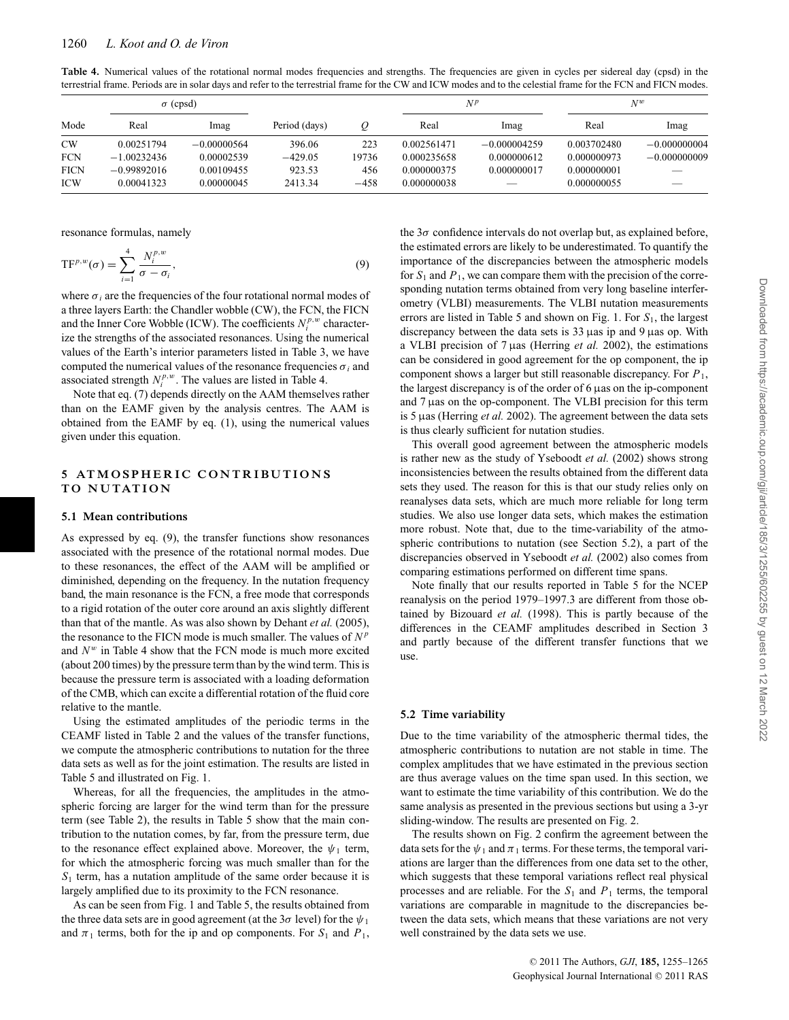Table 4. Numerical values of the rotational normal modes frequencies and strengths. The frequencies are given in cycles per sidereal day (cpsd) in the terrestrial frame. Periods are in solar days and refer to the terrestrial frame for the CW and ICW modes and to the celestial frame for the FCN and FICN modes.

|             | $\sigma$ (cpsd) |               |               | $N^p$  |             | $N^w$                    |             |                |
|-------------|-----------------|---------------|---------------|--------|-------------|--------------------------|-------------|----------------|
| Mode        | Real            | lmag          | Period (days) |        | Real        | lmag                     | Real        | lmag           |
| <b>CW</b>   | 0.00251794      | $-0.00000564$ | 396.06        | 223    | 0.002561471 | $-0.000004259$           | 0.003702480 | $-0.000000004$ |
| <b>FCN</b>  | $-1.00232436$   | 0.00002539    | $-429.05$     | 19736  | 0.000235658 | 0.000000612              | 0.000000973 | $-0.000000009$ |
| <b>FICN</b> | $-0.99892016$   | 0.00109455    | 923.53        | 456    | 0.000000375 | 0.000000017              | 0.000000001 |                |
| <b>ICW</b>  | 0.00041323      | 0.00000045    | 2413.34       | $-458$ | 0.000000038 | $\overline{\phantom{a}}$ | 0.000000055 |                |

resonance formulas, namely

$$
\text{TF}^{p,w}(\sigma) = \sum_{i=1}^{4} \frac{N_i^{p,w}}{\sigma - \sigma_i},\tag{9}
$$

where  $\sigma_i$  are the frequencies of the four rotational normal modes of a three layers Earth: the Chandler wobble (CW), the FCN, the FICN and the Inner Core Wobble (ICW). The coefficients  $N_i^{p,w}$  characterize the strengths of the associated resonances. Using the numerical values of the Earth's interior parameters listed in Table 3, we have computed the numerical values of the resonance frequencies  $\sigma_i$  and associated strength  $N_i^{p,w}$ . The values are listed in Table 4.

Note that eq. (7) depends directly on the AAM themselves rather than on the EAMF given by the analysis centres. The AAM is obtained from the EAMF by eq. (1), using the numerical values given under this equation.

#### **5 ATMOSPHERIC CONTRIBUTIONS TO NUTATION**

#### **5.1 Mean contributions**

As expressed by eq. (9), the transfer functions show resonances associated with the presence of the rotational normal modes. Due to these resonances, the effect of the AAM will be amplified or diminished, depending on the frequency. In the nutation frequency band, the main resonance is the FCN, a free mode that corresponds to a rigid rotation of the outer core around an axis slightly different than that of the mantle. As was also shown by Dehant *et al.* (2005), the resonance to the FICN mode is much smaller. The values of  $N^p$ and  $N^w$  in Table 4 show that the FCN mode is much more excited (about 200 times) by the pressure term than by the wind term. This is because the pressure term is associated with a loading deformation of the CMB, which can excite a differential rotation of the fluid core relative to the mantle.

Using the estimated amplitudes of the periodic terms in the CEAMF listed in Table 2 and the values of the transfer functions, we compute the atmospheric contributions to nutation for the three data sets as well as for the joint estimation. The results are listed in Table 5 and illustrated on Fig. 1.

Whereas, for all the frequencies, the amplitudes in the atmospheric forcing are larger for the wind term than for the pressure term (see Table 2), the results in Table 5 show that the main contribution to the nutation comes, by far, from the pressure term, due to the resonance effect explained above. Moreover, the  $\psi_1$  term, for which the atmospheric forcing was much smaller than for the  $S_1$  term, has a nutation amplitude of the same order because it is largely amplified due to its proximity to the FCN resonance.

As can be seen from Fig. 1 and Table 5, the results obtained from the three data sets are in good agreement (at the  $3\sigma$  level) for the  $\psi_1$ and  $\pi_1$  terms, both for the ip and op components. For  $S_1$  and  $P_1$ , the  $3\sigma$  confidence intervals do not overlap but, as explained before, the estimated errors are likely to be underestimated. To quantify the importance of the discrepancies between the atmospheric models for  $S_1$  and  $P_1$ , we can compare them with the precision of the corresponding nutation terms obtained from very long baseline interferometry (VLBI) measurements. The VLBI nutation measurements errors are listed in Table 5 and shown on Fig. 1. For  $S_1$ , the largest discrepancy between the data sets is  $33 \mu$ as ip and  $9 \mu$ as op. With a VLBI precision of 7 µas (Herring *et al.* 2002), the estimations can be considered in good agreement for the op component, the ip component shows a larger but still reasonable discrepancy. For *P*1, the largest discrepancy is of the order of 6 µas on the ip-component and 7 µas on the op-component. The VLBI precision for this term is 5 µas (Herring *et al.* 2002). The agreement between the data sets is thus clearly sufficient for nutation studies.

This overall good agreement between the atmospheric models is rather new as the study of Yseboodt *et al.* (2002) shows strong inconsistencies between the results obtained from the different data sets they used. The reason for this is that our study relies only on reanalyses data sets, which are much more reliable for long term studies. We also use longer data sets, which makes the estimation more robust. Note that, due to the time-variability of the atmospheric contributions to nutation (see Section 5.2), a part of the discrepancies observed in Yseboodt *et al.* (2002) also comes from comparing estimations performed on different time spans.

Note finally that our results reported in Table 5 for the NCEP reanalysis on the period 1979–1997.3 are different from those obtained by Bizouard *et al.* (1998). This is partly because of the differences in the CEAMF amplitudes described in Section 3 and partly because of the different transfer functions that we use.

#### **5.2 Time variability**

Due to the time variability of the atmospheric thermal tides, the atmospheric contributions to nutation are not stable in time. The complex amplitudes that we have estimated in the previous section are thus average values on the time span used. In this section, we want to estimate the time variability of this contribution. We do the same analysis as presented in the previous sections but using a 3-yr sliding-window. The results are presented on Fig. 2.

The results shown on Fig. 2 confirm the agreement between the data sets for the  $\psi_1$  and  $\pi_1$  terms. For these terms, the temporal variations are larger than the differences from one data set to the other, which suggests that these temporal variations reflect real physical processes and are reliable. For the  $S_1$  and  $P_1$  terms, the temporal variations are comparable in magnitude to the discrepancies between the data sets, which means that these variations are not very well constrained by the data sets we use.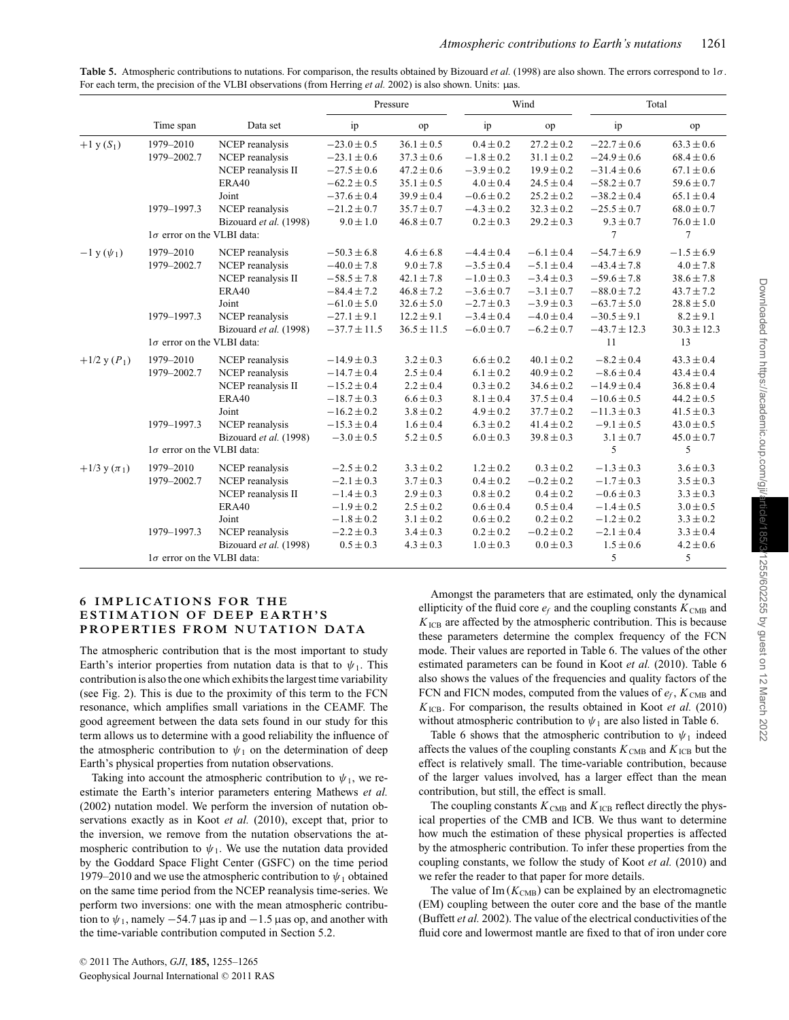|                                 |                                   |                        |                  | Pressure        |                | Wind           |                  | Total           |  |
|---------------------------------|-----------------------------------|------------------------|------------------|-----------------|----------------|----------------|------------------|-----------------|--|
|                                 | Time span                         | Data set               | ip               | op              | ip             | op             | ip               | op              |  |
| $+1$ y $(S_1)$                  | 1979-2010                         | NCEP reanalysis        | $-23.0 \pm 0.5$  | $36.1 \pm 0.5$  | $0.4 \pm 0.2$  | $27.2 \pm 0.2$ | $-22.7 \pm 0.6$  | $63.3 \pm 0.6$  |  |
|                                 | 1979-2002.7                       | NCEP reanalysis        | $-23.1 \pm 0.6$  | $37.3 \pm 0.6$  | $-1.8 \pm 0.2$ | $31.1 \pm 0.2$ | $-24.9 \pm 0.6$  | $68.4 \pm 0.6$  |  |
|                                 |                                   | NCEP reanalysis II     | $-27.5 \pm 0.6$  | $47.2 \pm 0.6$  | $-3.9 \pm 0.2$ | $19.9 \pm 0.2$ | $-31.4 \pm 0.6$  | $67.1 \pm 0.6$  |  |
|                                 |                                   | ERA40                  | $-62.2 \pm 0.5$  | $35.1 \pm 0.5$  | $4.0 \pm 0.4$  | $24.5 \pm 0.4$ | $-58.2 \pm 0.7$  | $59.6 \pm 0.7$  |  |
|                                 |                                   | Joint                  | $-37.6 \pm 0.4$  | $39.9 \pm 0.4$  | $-0.6 \pm 0.2$ | $25.2 \pm 0.2$ | $-38.2 \pm 0.4$  | $65.1 \pm 0.4$  |  |
|                                 | 1979-1997.3                       | NCEP reanalysis        | $-21.2 \pm 0.7$  | $35.7 \pm 0.7$  | $-4.3 \pm 0.2$ | $32.3 \pm 0.2$ | $-25.5 \pm 0.7$  | $68.0 \pm 0.7$  |  |
|                                 |                                   | Bizouard et al. (1998) | $9.0 \pm 1.0$    | $46.8 \pm 0.7$  | $0.2 \pm 0.3$  | $29.2 \pm 0.3$ | $9.3 \pm 0.7$    | $76.0 \pm 1.0$  |  |
|                                 | $1\sigma$ error on the VLBI data: |                        |                  |                 |                |                | $\overline{7}$   | $\overline{7}$  |  |
| $-1 y (\psi_1)$                 | 1979-2010                         | NCEP reanalysis        | $-50.3 \pm 6.8$  | $4.6 \pm 6.8$   | $-4.4 \pm 0.4$ | $-6.1 \pm 0.4$ | $-54.7 \pm 6.9$  | $-1.5 \pm 6.9$  |  |
|                                 | 1979-2002.7                       | NCEP reanalysis        | $-40.0 \pm 7.8$  | $9.0 \pm 7.8$   | $-3.5 \pm 0.4$ | $-5.1 \pm 0.4$ | $-43.4 \pm 7.8$  | $4.0 \pm 7.8$   |  |
|                                 |                                   | NCEP reanalysis II     | $-58.5 \pm 7.8$  | $42.1 \pm 7.8$  | $-1.0 \pm 0.3$ | $-3.4 \pm 0.3$ | $-59.6 \pm 7.8$  | $38.6 \pm 7.8$  |  |
|                                 |                                   | ERA40                  | $-84.4 \pm 7.2$  | $46.8 \pm 7.2$  | $-3.6 \pm 0.7$ | $-3.1 \pm 0.7$ | $-88.0 \pm 7.2$  | $43.7 \pm 7.2$  |  |
|                                 |                                   | Joint                  | $-61.0 \pm 5.0$  | $32.6 \pm 5.0$  | $-2.7 \pm 0.3$ | $-3.9 \pm 0.3$ | $-63.7 \pm 5.0$  | $28.8 \pm 5.0$  |  |
|                                 | 1979-1997.3                       | NCEP reanalysis        | $-27.1 \pm 9.1$  | $12.2 \pm 9.1$  | $-3.4 \pm 0.4$ | $-4.0 \pm 0.4$ | $-30.5 \pm 9.1$  | $8.2 \pm 9.1$   |  |
|                                 |                                   | Bizouard et al. (1998) | $-37.7 \pm 11.5$ | $36.5 \pm 11.5$ | $-6.0 \pm 0.7$ | $-6.2 \pm 0.7$ | $-43.7 \pm 12.3$ | $30.3 \pm 12.3$ |  |
|                                 | $1\sigma$ error on the VLBI data: |                        |                  |                 |                |                | 11               | 13              |  |
| $+1/2$ y $(P_1)$                | 1979-2010                         | NCEP reanalysis        | $-14.9 \pm 0.3$  | $3.2 \pm 0.3$   | $6.6 \pm 0.2$  | $40.1 \pm 0.2$ | $-8.2 \pm 0.4$   | $43.3 \pm 0.4$  |  |
|                                 | 1979-2002.7                       | NCEP reanalysis        | $-14.7 \pm 0.4$  | $2.5 \pm 0.4$   | $6.1 \pm 0.2$  | $40.9 \pm 0.2$ | $-8.6 \pm 0.4$   | $43.4 \pm 0.4$  |  |
|                                 |                                   | NCEP reanalysis II     | $-15.2 \pm 0.4$  | $2.2 \pm 0.4$   | $0.3 \pm 0.2$  | $34.6 \pm 0.2$ | $-14.9 \pm 0.4$  | $36.8 \pm 0.4$  |  |
|                                 |                                   | ERA40                  | $-18.7 \pm 0.3$  | $6.6 \pm 0.3$   | $8.1 \pm 0.4$  | $37.5 \pm 0.4$ | $-10.6 \pm 0.5$  | $44.2 \pm 0.5$  |  |
|                                 |                                   | Joint                  | $-16.2 \pm 0.2$  | $3.8 \pm 0.2$   | $4.9 \pm 0.2$  | $37.7 \pm 0.2$ | $-11.3 \pm 0.3$  | $41.5 \pm 0.3$  |  |
|                                 | 1979-1997.3                       | NCEP reanalysis        | $-15.3 \pm 0.4$  | $1.6 \pm 0.4$   | $6.3 \pm 0.2$  | $41.4 \pm 0.2$ | $-9.1 \pm 0.5$   | $43.0 \pm 0.5$  |  |
|                                 |                                   | Bizouard et al. (1998) | $-3.0 \pm 0.5$   | $5.2 \pm 0.5$   | $6.0 \pm 0.3$  | $39.8 \pm 0.3$ | $3.1 \pm 0.7$    | $45.0 \pm 0.7$  |  |
|                                 | $1\sigma$ error on the VLBI data: |                        |                  |                 |                |                | 5                | 5               |  |
| $+1/3$ y ( $\pi$ <sub>1</sub> ) | 1979-2010                         | NCEP reanalysis        | $-2.5 \pm 0.2$   | $3.3 \pm 0.2$   | $1.2 \pm 0.2$  | $0.3 \pm 0.2$  | $-1.3 \pm 0.3$   | $3.6 \pm 0.3$   |  |
|                                 | 1979-2002.7                       | NCEP reanalysis        | $-2.1 \pm 0.3$   | $3.7 \pm 0.3$   | $0.4 \pm 0.2$  | $-0.2 \pm 0.2$ | $-1.7 \pm 0.3$   | $3.5 \pm 0.3$   |  |
|                                 |                                   | NCEP reanalysis II     | $-1.4 \pm 0.3$   | $2.9 \pm 0.3$   | $0.8 \pm 0.2$  | $0.4 \pm 0.2$  | $-0.6 \pm 0.3$   | $3.3 \pm 0.3$   |  |
|                                 |                                   | ERA40                  | $-1.9 \pm 0.2$   | $2.5 \pm 0.2$   | $0.6 \pm 0.4$  | $0.5 \pm 0.4$  | $-1.4 \pm 0.5$   | $3.0 \pm 0.5$   |  |
|                                 |                                   | Joint                  | $-1.8 \pm 0.2$   | $3.1 \pm 0.2$   | $0.6 \pm 0.2$  | $0.2 \pm 0.2$  | $-1.2 \pm 0.2$   | $3.3 \pm 0.2$   |  |
|                                 | 1979-1997.3                       | NCEP reanalysis        | $-2.2 \pm 0.3$   | $3.4 \pm 0.3$   | $0.2 \pm 0.2$  | $-0.2 \pm 0.2$ | $-2.1 \pm 0.4$   | $3.3 \pm 0.4$   |  |
|                                 |                                   | Bizouard et al. (1998) | $0.5 \pm 0.3$    | $4.3 \pm 0.3$   | $1.0 \pm 0.3$  | $0.0 \pm 0.3$  | $1.5 \pm 0.6$    | $4.2 \pm 0.6$   |  |
|                                 | $1\sigma$ error on the VLBI data: |                        |                  |                 |                |                | 5                | 5               |  |

**Table 5.** Atmospheric contributions to nutations. For comparison, the results obtained by Bizouard *et al.* (1998) are also shown. The errors correspond to 1σ. For each term, the precision of the VLBI observations (from Herring *et al.* 2002) is also shown. Units: µas.

#### **6 IMPLICATIONS FOR THE ESTIMATION OF DEEP EARTH'S PROPERTIES FROM NUTATION DATA**

The atmospheric contribution that is the most important to study Earth's interior properties from nutation data is that to  $\psi_1$ . This contribution is also the one which exhibits the largest time variability (see Fig. 2). This is due to the proximity of this term to the FCN resonance, which amplifies small variations in the CEAMF. The good agreement between the data sets found in our study for this term allows us to determine with a good reliability the influence of the atmospheric contribution to  $\psi_1$  on the determination of deep Earth's physical properties from nutation observations.

Taking into account the atmospheric contribution to  $\psi_1$ , we reestimate the Earth's interior parameters entering Mathews *et al.* (2002) nutation model. We perform the inversion of nutation observations exactly as in Koot *et al.* (2010), except that, prior to the inversion, we remove from the nutation observations the atmospheric contribution to  $\psi_1$ . We use the nutation data provided by the Goddard Space Flight Center (GSFC) on the time period 1979–2010 and we use the atmospheric contribution to  $\psi_1$  obtained on the same time period from the NCEP reanalysis time-series. We perform two inversions: one with the mean atmospheric contribution to  $\psi_1$ , namely −54.7 µas ip and −1.5 µas op, and another with the time-variable contribution computed in Section 5.2.

Amongst the parameters that are estimated, only the dynamical ellipticity of the fluid core  $e_f$  and the coupling constants  $K_{\text{CMB}}$  and  $K_{\text{ICB}}$  are affected by the atmospheric contribution. This is because these parameters determine the complex frequency of the FCN mode. Their values are reported in Table 6. The values of the other estimated parameters can be found in Koot *et al.* (2010). Table 6 also shows the values of the frequencies and quality factors of the FCN and FICN modes, computed from the values of  $e_f$ ,  $K_{\text{CMB}}$  and *K*ICB. For comparison, the results obtained in Koot *et al.* (2010) without atmospheric contribution to  $\psi_1$  are also listed in Table 6.

Table 6 shows that the atmospheric contribution to  $\psi_1$  indeed affects the values of the coupling constants  $K_{\text{CMB}}$  and  $K_{\text{ICB}}$  but the effect is relatively small. The time-variable contribution, because of the larger values involved, has a larger effect than the mean contribution, but still, the effect is small.

The coupling constants  $K_{\text{CMB}}$  and  $K_{\text{ICB}}$  reflect directly the physical properties of the CMB and ICB. We thus want to determine how much the estimation of these physical properties is affected by the atmospheric contribution. To infer these properties from the coupling constants, we follow the study of Koot *et al.* (2010) and we refer the reader to that paper for more details.

The value of  $Im(K<sub>CMB</sub>)$  can be explained by an electromagnetic (EM) coupling between the outer core and the base of the mantle (Buffett *et al.* 2002). The value of the electrical conductivities of the fluid core and lowermost mantle are fixed to that of iron under core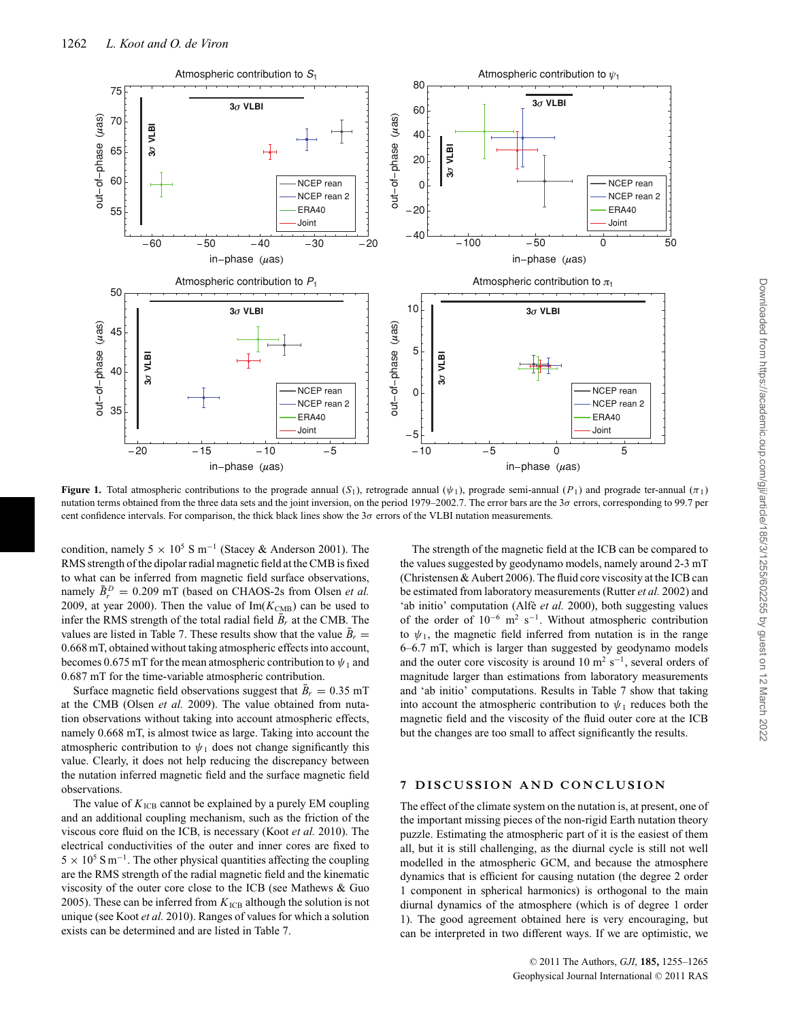

**Figure 1.** Total atmospheric contributions to the prograde annual (S<sub>1</sub>), retrograde annual ( $\psi$ <sub>1</sub>), prograde semi-annual ( $P_1$ ) and prograde ter-annual ( $\pi_1$ ) nutation terms obtained from the three data sets and the joint inversion, on the period 1979–2002.7. The error bars are the  $3\sigma$  errors, corresponding to 99.7 per cent confidence intervals. For comparison, the thick black lines show the  $3\sigma$  errors of the VLBI nutation measurements.

condition, namely 5 × 10<sup>5</sup> S m<sup>-1</sup> (Stacey & Anderson 2001). The RMS strength of the dipolar radial magnetic field at the CMB is fixed to what can be inferred from magnetic field surface observations, namely  $\bar{B}_r^D = 0.209$  mT (based on CHAOS-2s from Olsen *et al.* 2009, at year 2000). Then the value of  $Im(K_{CMB})$  can be used to infer the RMS strength of the total radial field  $\bar{B}_r$  at the CMB. The values are listed in Table 7. These results show that the value  $\bar{B}_r =$ 0.668 mT, obtained without taking atmospheric effects into account, becomes 0.675 mT for the mean atmospheric contribution to  $\psi_1$  and 0.687 mT for the time-variable atmospheric contribution.

Surface magnetic field observations suggest that  $\bar{B}_r = 0.35$  mT at the CMB (Olsen *et al.* 2009). The value obtained from nutation observations without taking into account atmospheric effects, namely 0.668 mT, is almost twice as large. Taking into account the atmospheric contribution to  $\psi_1$  does not change significantly this value. Clearly, it does not help reducing the discrepancy between the nutation inferred magnetic field and the surface magnetic field observations.

The value of  $K_{\text{ICB}}$  cannot be explained by a purely EM coupling and an additional coupling mechanism, such as the friction of the viscous core fluid on the ICB, is necessary (Koot *et al.* 2010). The electrical conductivities of the outer and inner cores are fixed to  $5 \times 10^5$  S m<sup>-1</sup>. The other physical quantities affecting the coupling are the RMS strength of the radial magnetic field and the kinematic viscosity of the outer core close to the ICB (see Mathews & Guo 2005). These can be inferred from  $K_{\text{ICB}}$  although the solution is not unique (see Koot *et al.* 2010). Ranges of values for which a solution exists can be determined and are listed in Table 7.

The strength of the magnetic field at the ICB can be compared to the values suggested by geodynamo models, namely around 2-3 mT (Christensen & Aubert 2006). The fluid core viscosity at the ICB can be estimated from laboratory measurements (Rutter *et al.* 2002) and 'ab initio' computation (Alfe<sup>et al.</sup> 2000), both suggesting values of the order of  $10^{-6}$  m<sup>2</sup> s<sup>-1</sup>. Without atmospheric contribution to  $\psi_1$ , the magnetic field inferred from nutation is in the range 6–6.7 mT, which is larger than suggested by geodynamo models and the outer core viscosity is around 10 m<sup>2</sup> s<sup>-1</sup>, several orders of magnitude larger than estimations from laboratory measurements and 'ab initio' computations. Results in Table 7 show that taking into account the atmospheric contribution to  $\psi_1$  reduces both the magnetic field and the viscosity of the fluid outer core at the ICB but the changes are too small to affect significantly the results.

#### **7 DISCUSSION AND CONCLUSION**

The effect of the climate system on the nutation is, at present, one of the important missing pieces of the non-rigid Earth nutation theory puzzle. Estimating the atmospheric part of it is the easiest of them all, but it is still challenging, as the diurnal cycle is still not well modelled in the atmospheric GCM, and because the atmosphere dynamics that is efficient for causing nutation (the degree 2 order 1 component in spherical harmonics) is orthogonal to the main diurnal dynamics of the atmosphere (which is of degree 1 order 1). The good agreement obtained here is very encouraging, but can be interpreted in two different ways. If we are optimistic, we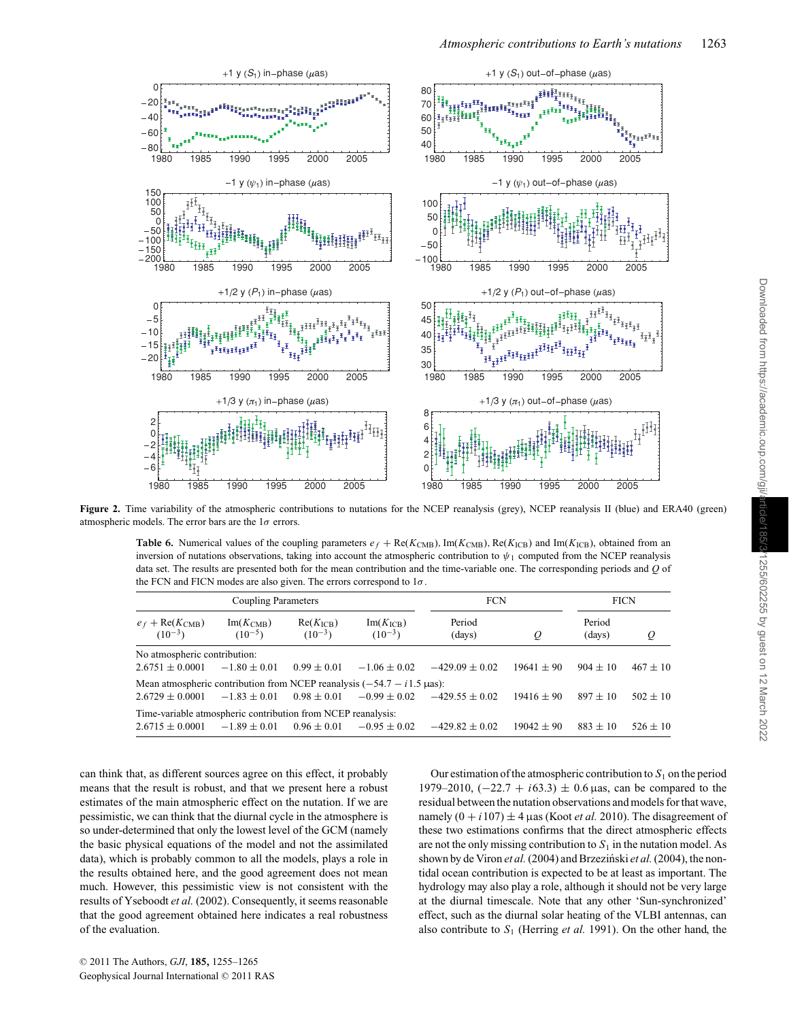

Figure 2. Time variability of the atmospheric contributions to nutations for the NCEP reanalysis (grey), NCEP reanalysis II (blue) and ERA40 (green) atmospheric models. The error bars are the  $1\sigma$  errors.

**Table 6.** Numerical values of the coupling parameters  $e_f + \text{Re}(K_{\text{CMB}})$ , Im( $K_{\text{CMB}}$ ), Re( $K_{\text{ICB}}$ ) and Im( $K_{\text{ICB}}$ ), obtained from an inversion of nutations observations, taking into account the atmospheric contribution to  $\psi_1$  computed from the NCEP reanalysis data set. The results are presented both for the mean contribution and the time-variable one. The corresponding periods and *Q* of the FCN and FICN modes are also given. The errors correspond to  $1\sigma$ .

|                                                                                      | Coupling Parameters          |                              | <b>FCN</b>                   | <b>FICN</b>      |              |                  |              |
|--------------------------------------------------------------------------------------|------------------------------|------------------------------|------------------------------|------------------|--------------|------------------|--------------|
| $e_f + \text{Re}(K_{\text{CMB}})$<br>$(10^{-3})$                                     | $Im(K_{CMB})$<br>$(10^{-5})$ | $Re(K_{ICB})$<br>$(10^{-3})$ | $Im(K_{ICB})$<br>$(10^{-3})$ | Period<br>(days) | $\varrho$    | Period<br>(days) | Q            |
| No atmospheric contribution:                                                         |                              |                              |                              |                  |              |                  |              |
| $2.6751 + 0.0001$                                                                    | $-1.80 \pm 0.01$             | $0.99 \pm 0.01$              | $-1.06 \pm 0.02$             | $-429.09 + 0.02$ | $19641 + 90$ | $904 \pm 10$     | $467 + 10$   |
| Mean atmospheric contribution from NCEP reanalysis $(-54.7 - i1.5 \text{ \mu as})$ : |                              |                              |                              |                  |              |                  |              |
| $2.6729 \pm 0.0001$                                                                  | $-1.83 \pm 0.01$             | $0.98 \pm 0.01$              | $-0.99 \pm 0.02$             | $-42955 + 0.02$  | $19416 + 90$ | $897 \pm 10$     | $502 \pm 10$ |
| Time-variable atmospheric contribution from NCEP reanalysis:                         |                              |                              |                              |                  |              |                  |              |
| $2.6715 \pm 0.0001$                                                                  | $-1.89 \pm 0.01$             | $0.96 \pm 0.01$              | $-0.95 \pm 0.02$             | $-429.82 + 0.02$ | $19042 + 90$ | $883 + 10$       | $526 \pm 10$ |

can think that, as different sources agree on this effect, it probably means that the result is robust, and that we present here a robust estimates of the main atmospheric effect on the nutation. If we are pessimistic, we can think that the diurnal cycle in the atmosphere is so under-determined that only the lowest level of the GCM (namely the basic physical equations of the model and not the assimilated data), which is probably common to all the models, plays a role in the results obtained here, and the good agreement does not mean much. However, this pessimistic view is not consistent with the results of Yseboodt *et al.* (2002). Consequently, it seems reasonable that the good agreement obtained here indicates a real robustness of the evaluation.

Our estimation of the atmospheric contribution to  $S_1$  on the period 1979–2010, (−22.7 + *i*63.3) ± 0.6 µas, can be compared to the residual between the nutation observations and models for that wave, namely  $(0 + i107) \pm 4$  µas (Koot *et al.* 2010). The disagreement of these two estimations confirms that the direct atmospheric effects are not the only missing contribution to  $S_1$  in the nutation model. As shown by de Viron *et al.* (2004) and Brzeziński *et al.* (2004), the nontidal ocean contribution is expected to be at least as important. The hydrology may also play a role, although it should not be very large at the diurnal timescale. Note that any other 'Sun-synchronized' effect, such as the diurnal solar heating of the VLBI antennas, can also contribute to  $S_1$  (Herring *et al.* 1991). On the other hand, the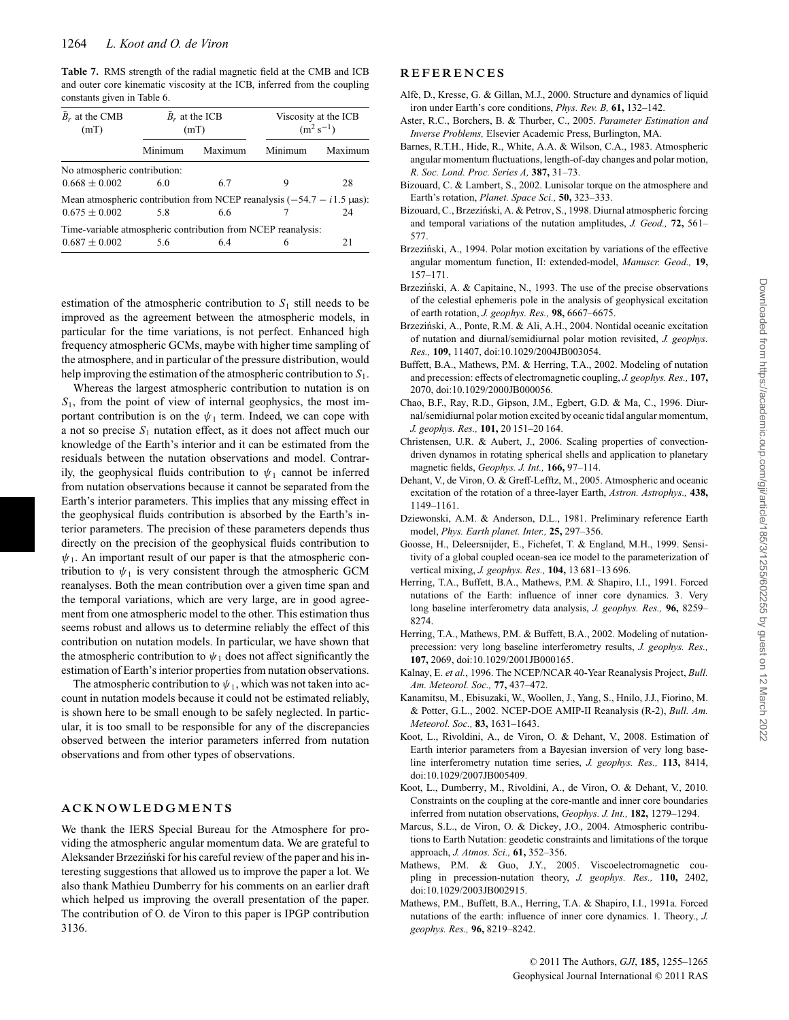**Table 7.** RMS strength of the radial magnetic field at the CMB and ICB and outer core kinematic viscosity at the ICB, inferred from the coupling constants given in Table 6.

| $B_r$ at the CMB<br>(mT)                                                                   |         | $B_r$ at the ICB<br>(mT) | Viscosity at the ICB<br>$(m^2 s^{-1})$ |         |  |
|--------------------------------------------------------------------------------------------|---------|--------------------------|----------------------------------------|---------|--|
|                                                                                            | Minimum | Maximum                  | Minimum                                | Maximum |  |
| No atmospheric contribution:<br>$0.668 \pm 0.002$                                          | 60      | 6.7                      | 9                                      | 28      |  |
| Mean atmospheric contribution from NCEP reanalysis $(-54.7 - i1.5 \text{ }\mu\text{as})$ : |         |                          |                                        |         |  |
| $0.675 \pm 0.002$                                                                          | 58      | 6.6                      |                                        | 24      |  |
| Time-variable atmospheric contribution from NCEP reanalysis:                               |         |                          |                                        |         |  |
| $0.687 \pm 0.002$                                                                          | 5.6     | 64                       | 6                                      | 21      |  |

estimation of the atmospheric contribution to  $S_1$  still needs to be improved as the agreement between the atmospheric models, in particular for the time variations, is not perfect. Enhanced high frequency atmospheric GCMs, maybe with higher time sampling of the atmosphere, and in particular of the pressure distribution, would help improving the estimation of the atmospheric contribution to *S*1.

Whereas the largest atmospheric contribution to nutation is on *S*1, from the point of view of internal geophysics, the most important contribution is on the  $\psi_1$  term. Indeed, we can cope with a not so precise *S*<sup>1</sup> nutation effect, as it does not affect much our knowledge of the Earth's interior and it can be estimated from the residuals between the nutation observations and model. Contrarily, the geophysical fluids contribution to  $\psi_1$  cannot be inferred from nutation observations because it cannot be separated from the Earth's interior parameters. This implies that any missing effect in the geophysical fluids contribution is absorbed by the Earth's interior parameters. The precision of these parameters depends thus directly on the precision of the geophysical fluids contribution to  $\psi_1$ . An important result of our paper is that the atmospheric contribution to  $\psi_1$  is very consistent through the atmospheric GCM reanalyses. Both the mean contribution over a given time span and the temporal variations, which are very large, are in good agreement from one atmospheric model to the other. This estimation thus seems robust and allows us to determine reliably the effect of this contribution on nutation models. In particular, we have shown that the atmospheric contribution to  $\psi_1$  does not affect significantly the estimation of Earth's interior properties from nutation observations.

The atmospheric contribution to  $\psi_1$ , which was not taken into account in nutation models because it could not be estimated reliably, is shown here to be small enough to be safely neglected. In particular, it is too small to be responsible for any of the discrepancies observed between the interior parameters inferred from nutation observations and from other types of observations.

#### **ACKNOWLEDGMENTS**

We thank the IERS Special Bureau for the Atmosphere for providing the atmospheric angular momentum data. We are grateful to Aleksander Brzeziński for his careful review of the paper and his interesting suggestions that allowed us to improve the paper a lot. We also thank Mathieu Dumberry for his comments on an earlier draft which helped us improving the overall presentation of the paper. The contribution of O. de Viron to this paper is IPGP contribution 3136.

#### **REFERENCES**

- Alfe, D., Kresse, G. & Gillan, M.J., 2000. Structure and dynamics of liquid ` iron under Earth's core conditions, *Phys. Rev. B,* **61,** 132–142.
- Aster, R.C., Borchers, B. & Thurber, C., 2005. *Parameter Estimation and Inverse Problems,* Elsevier Academic Press, Burlington, MA.
- Barnes, R.T.H., Hide, R., White, A.A. & Wilson, C.A., 1983. Atmospheric angular momentum fluctuations, length-of-day changes and polar motion, *R. Soc. Lond. Proc. Series A,* **387,** 31–73.
- Bizouard, C. & Lambert, S., 2002. Lunisolar torque on the atmosphere and Earth's rotation, *Planet. Space Sci.,* **50,** 323–333.
- Bizouard, C., Brzeziński, A. & Petrov, S., 1998. Diurnal atmospheric forcing and temporal variations of the nutation amplitudes, *J. Geod.,* **72,** 561– 577.
- Brzeziński, A., 1994. Polar motion excitation by variations of the effective angular momentum function, II: extended-model, *Manuscr. Geod.,* **19,** 157–171.
- Brzeziński, A. & Capitaine, N., 1993. The use of the precise observations of the celestial ephemeris pole in the analysis of geophysical excitation of earth rotation, *J. geophys. Res.,* **98,** 6667–6675.
- Brzezinski, A., Ponte, R.M. & Ali, A.H., 2004. Nontidal oceanic excitation ´ of nutation and diurnal/semidiurnal polar motion revisited, *J. geophys. Res.,* **109,** 11407, doi:10.1029/2004JB003054.
- Buffett, B.A., Mathews, P.M. & Herring, T.A., 2002. Modeling of nutation and precession: effects of electromagnetic coupling, *J. geophys. Res.,* **107,** 2070, doi:10.1029/2000JB000056.
- Chao, B.F., Ray, R.D., Gipson, J.M., Egbert, G.D. & Ma, C., 1996. Diurnal/semidiurnal polar motion excited by oceanic tidal angular momentum, *J. geophys. Res.,* **101,** 20 151–20 164.
- Christensen, U.R. & Aubert, J., 2006. Scaling properties of convectiondriven dynamos in rotating spherical shells and application to planetary magnetic fields, *Geophys. J. Int.,* **166,** 97–114.
- Dehant, V., de Viron, O. & Greff-Lefftz, M., 2005. Atmospheric and oceanic excitation of the rotation of a three-layer Earth, *Astron. Astrophys.,* **438,** 1149–1161.
- Dziewonski, A.M. & Anderson, D.L., 1981. Preliminary reference Earth model, *Phys. Earth planet. Inter.,* **25,** 297–356.
- Goosse, H., Deleersnijder, E., Fichefet, T. & England, M.H., 1999. Sensitivity of a global coupled ocean-sea ice model to the parameterization of vertical mixing, *J. geophys. Res.,* **104,** 13 681–13 696.
- Herring, T.A., Buffett, B.A., Mathews, P.M. & Shapiro, I.I., 1991. Forced nutations of the Earth: influence of inner core dynamics. 3. Very long baseline interferometry data analysis, *J. geophys. Res.,* **96,** 8259– 8274.
- Herring, T.A., Mathews, P.M. & Buffett, B.A., 2002. Modeling of nutationprecession: very long baseline interferometry results, *J. geophys. Res.,* **107,** 2069, doi:10.1029/2001JB000165.
- Kalnay, E. *et al.*, 1996. The NCEP/NCAR 40-Year Reanalysis Project, *Bull. Am. Meteorol. Soc.,* **77,** 437–472.
- Kanamitsu, M., Ebisuzaki, W., Woollen, J., Yang, S., Hnilo, J.J., Fiorino, M. & Potter, G.L., 2002. NCEP-DOE AMIP-II Reanalysis (R-2), *Bull. Am. Meteorol. Soc.,* **83,** 1631–1643.
- Koot, L., Rivoldini, A., de Viron, O. & Dehant, V., 2008. Estimation of Earth interior parameters from a Bayesian inversion of very long baseline interferometry nutation time series, *J. geophys. Res.,* **113,** 8414, doi:10.1029/2007JB005409.
- Koot, L., Dumberry, M., Rivoldini, A., de Viron, O. & Dehant, V., 2010. Constraints on the coupling at the core-mantle and inner core boundaries inferred from nutation observations, *Geophys. J. Int.,* **182,** 1279–1294.
- Marcus, S.L., de Viron, O. & Dickey, J.O., 2004. Atmospheric contributions to Earth Nutation: geodetic constraints and limitations of the torque approach, *J. Atmos. Sci.,* **61,** 352–356.
- Mathews, P.M. & Guo, J.Y., 2005. Viscoelectromagnetic coupling in precession-nutation theory, *J. geophys. Res.,* **110,** 2402, doi:10.1029/2003JB002915.
- Mathews, P.M., Buffett, B.A., Herring, T.A. & Shapiro, I.I., 1991a. Forced nutations of the earth: influence of inner core dynamics. 1. Theory., *J. geophys. Res.,* **96,** 8219–8242.